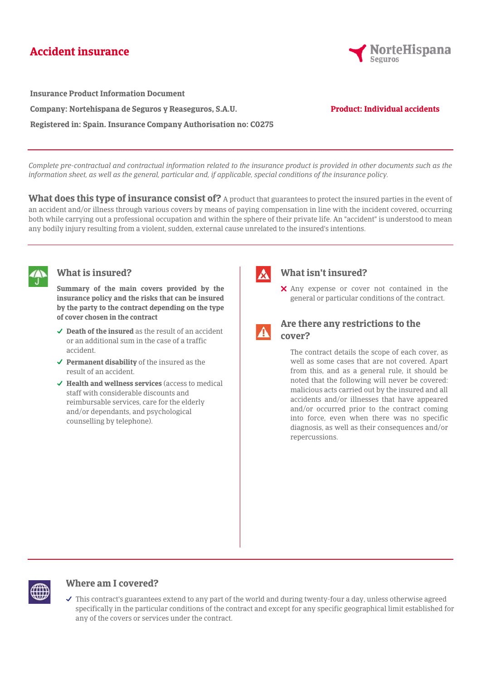# **Accident insurance**



**Insurance Product Information Document Company: Nortehispana de Seguros y Reaseguros, S.A.U. Registered in: Spain. Insurance Company Authorisation no: C0275**

#### **Product: Individual accidents**

*Complete pre-contractual and contractual information related to the insurance product is provided in other documents such as the information sheet, as well as the general, particular and, if applicable, special conditions of the insurance policy.*

What does this type of insurance consist of? A product that guarantees to protect the insured parties in the event of an accident and/or illness through various covers by means of paying compensation in line with the incident covered, occurring both while carrying out a professional occupation and within the sphere of their private life. An "accident" is understood to mean any bodily injury resulting from a violent, sudden, external cause unrelated to the insured's intentions.



#### **What is insured?**

**Summary of the main covers provided by the insurance policy and the risks that can be insured by the party to the contract depending on the type of cover chosen in the contract**

- **Death of the insured** as the result of an accident or an additional sum in the case of a traffic accident.
- **Permanent disability** of the insured as the result of an accident.
- **Health and wellness services** (access to medical staff with considerable discounts and reimbursable services, care for the elderly and/or dependants, and psychological counselling by telephone).



## **What isn't insured?**

Any expense or cover not contained in the general or particular conditions of the contract.



### **Are there any restrictions to the cover?**

The contract details the scope of each cover, as well as some cases that are not covered. Apart from this, and as a general rule, it should be noted that the following will never be covered: malicious acts carried out by the insured and all accidents and/or illnesses that have appeared and/or occurred prior to the contract coming into force, even when there was no specific diagnosis, as well as their consequences and/or repercussions.



#### **Where am I covered?**

 $\checkmark$  This contract's guarantees extend to any part of the world and during twenty-four a day, unless otherwise agreed specifically in the particular conditions of the contract and except for any specific geographical limit established for any of the covers or services under the contract.